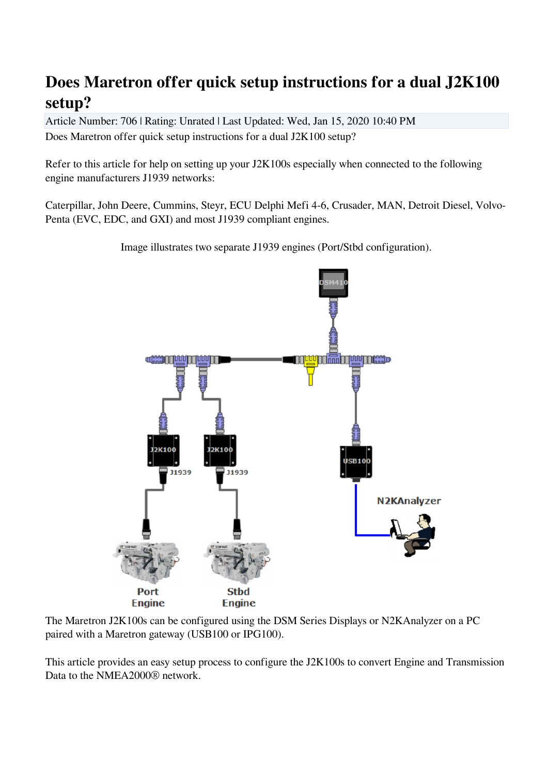# **Does Maretron offer quick setup instructions for a dual J2K100 setup?**

Article Number: 706 | Rating: Unrated | Last Updated: Wed, Jan 15, 2020 10:40 PM Does Maretron offer quick setup instructions for a dual J2K100 setup?

Refer to this article for help on setting up your J2K100s especially when connected to the following engine manufacturers J1939 networks:

Caterpillar, John Deere, Cummins, Steyr, ECU Delphi Mefi 4-6, Crusader, MAN, Detroit Diesel, Volvo-Penta (EVC, EDC, and GXI) and most J1939 compliant engines.

Image illustrates two separate J1939 engines (Port/Stbd configuration).



The Maretron J2K100s can be configured using the DSM Series Displays or N2KAnalyzer on a PC paired with a Maretron gateway (USB100 or IPG100).

This article provides an easy setup process to configure the J2K100s to convert Engine and Transmission Data to the NMEA2000® network.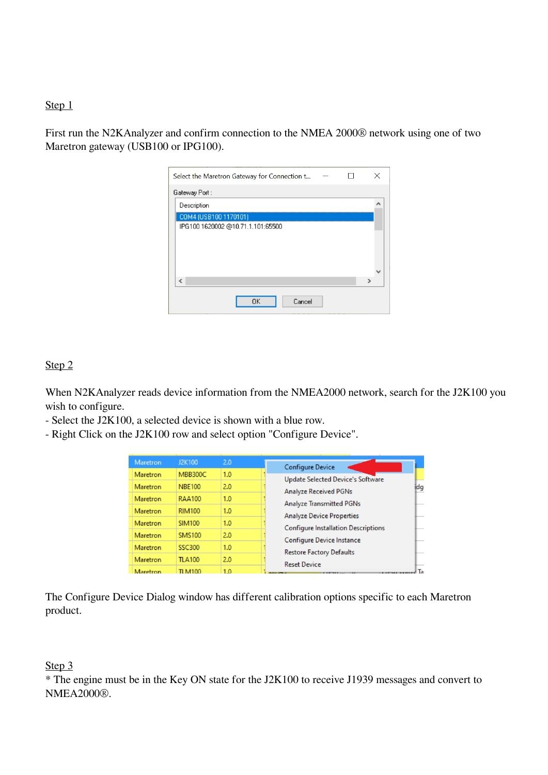#### Step 1

First run the N2KAnalyzer and confirm connection to the NMEA 2000® network using one of two Maretron gateway (USB100 or IPG100).

| Select the Maretron Gateway for Connection t |  | X |
|----------------------------------------------|--|---|
| Gateway Port:                                |  |   |
| Description                                  |  |   |
| COM4 (USB100 1170101)                        |  |   |
| IPG100 1620002 @10.71.1.101:65500            |  |   |
|                                              |  |   |
|                                              |  |   |
|                                              |  |   |
|                                              |  |   |
| ∢                                            |  |   |
| <b>OK</b><br>Cancel                          |  |   |
|                                              |  |   |

#### Step 2

When N2KAnalyzer reads device information from the NMEA2000 network, search for the J2K100 you wish to configure.

- Select the J2K100, a selected device is shown with a blue row.
- Right Click on the J2K100 row and select option "Configure Device".

| <b>Maretron</b> | J2K100         | 2.0 | <b>Configure Device</b>                    |     |
|-----------------|----------------|-----|--------------------------------------------|-----|
| Maretron        | <b>MBB300C</b> | 1.0 | <b>Update Selected Device's Software</b>   |     |
| <b>Maretron</b> | <b>NBE100</b>  | 2.0 | <b>Analyze Received PGNs</b>               | idg |
| <b>Maretron</b> | <b>RAA100</b>  | 1.0 | <b>Analyze Transmitted PGNs</b>            |     |
| <b>Maretron</b> | <b>RIM100</b>  | 1.0 | <b>Analyze Device Properties</b>           |     |
| Maretron        | <b>SIM100</b>  | 1.0 | <b>Configure Installation Descriptions</b> |     |
| Maretron        | <b>SMS100</b>  | 2.0 | Configure Device Instance                  |     |
| Maretron        | <b>SSC300</b>  | 1.0 | <b>Restore Factory Defaults</b>            |     |
| Maretron        | <b>TLA100</b>  | 2.0 | <b>Reset Device</b>                        |     |
| Maretron        | TI M100        | 1.0 |                                            | Τя  |

The Configure Device Dialog window has different calibration options specific to each Maretron product.

#### Step 3

\* The engine must be in the Key ON state for the J2K100 to receive J1939 messages and convert to NMEA2000®.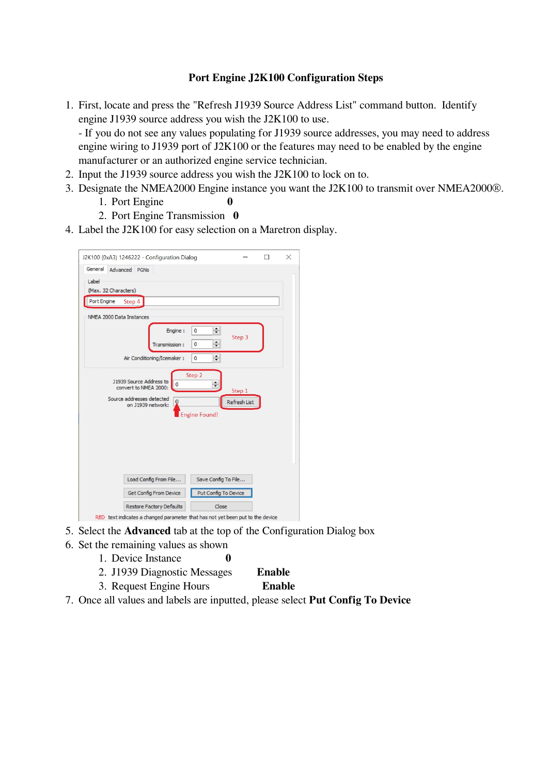### **Port Engine J2K100 Configuration Steps**

1. First, locate and press the "Refresh J1939 Source Address List" command button. Identify engine J1939 source address you wish the J2K100 to use.

- If you do not see any values populating for J1939 source addresses, you may need to address engine wiring to J1939 port of J2K100 or the features may need to be enabled by the engine manufacturer or an authorized engine service technician.

- 2. Input the J1939 source address you wish the J2K100 to lock on to.
- 3. Designate the NMEA2000 Engine instance you want the J2K100 to transmit over NMEA2000®.
	- 1. Port Engine **0**
	- 2. Port Engine Transmission **0**
- 4. Label the J2K100 for easy selection on a Maretron display.

| J2K100 (0xA3) 1246222 - Configuration Dialog                                                                      |                      |                               | $\times$ |
|-------------------------------------------------------------------------------------------------------------------|----------------------|-------------------------------|----------|
| General<br>Advanced PGNs                                                                                          |                      |                               |          |
| Label                                                                                                             |                      |                               |          |
| (Max. 32 Characters)                                                                                              |                      |                               |          |
| Port Engine<br>Step 4                                                                                             |                      |                               |          |
| NMEA 2000 Data Instances                                                                                          |                      |                               |          |
| Engine :                                                                                                          | $\div$<br>0          |                               |          |
| Transmission:                                                                                                     | $\div$<br>0          | Step 3                        |          |
|                                                                                                                   |                      |                               |          |
| Air Conditioning/Icemaker:                                                                                        | $\div$<br>0          |                               |          |
| J1939 Source Address to<br>convert to NMEA 2000:<br>Source addresses detected<br>$\mathbf 0$<br>on J1939 network: | Step 2<br>$\div$     | Step 1<br><b>Refresh List</b> |          |
|                                                                                                                   | <b>Engine Found!</b> |                               |          |
|                                                                                                                   |                      |                               |          |
|                                                                                                                   |                      |                               |          |
|                                                                                                                   |                      |                               |          |
| Load Config From File                                                                                             | Save Config To File  |                               |          |
| <b>Get Config From Device</b>                                                                                     | Put Config To Device |                               |          |
| <b>Restore Factory Defaults</b>                                                                                   | Close                |                               |          |
| RED text indicates a changed parameter that has not yet been put to the device                                    |                      |                               |          |

- 5. Select the **Advanced** tab at the top of the Configuration Dialog box
- 6. Set the remaining values as shown
	- 1. Device Instance **0**
	- 2. J1939 Diagnostic Messages **Enable**
	- 3. Request Engine Hours **Enable**
- 7. Once all values and labels are inputted, please select **Put Config To Device**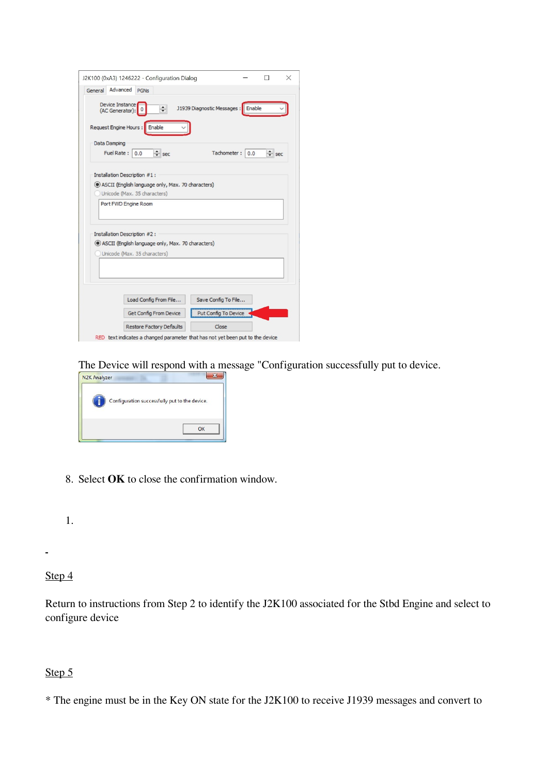|         | J2K100 (0xA3) 1246222 - Configuration Dialog                                   |                            |        |            | × |
|---------|--------------------------------------------------------------------------------|----------------------------|--------|------------|---|
| General | Advanced<br><b>PGNs</b>                                                        |                            |        |            |   |
|         | Device Instance<br>$\div$<br>(AC Generator):                                   | J1939 Diagnostic Messages: | Enable |            |   |
|         | Request Engine Hours:<br>Enable                                                |                            |        |            |   |
|         | Data Damping<br>Fuel Rate:<br>$\div$ sec<br>0.0                                | Tachometer:                | 0.0    | $\div$ sec |   |
|         |                                                                                |                            |        |            |   |
|         | Installation Description #1:                                                   |                            |        |            |   |
|         | (e) ASCII (English language only, Max. 70 characters)                          |                            |        |            |   |
|         | Unicode (Max. 35 characters)                                                   |                            |        |            |   |
|         | Port FWD Engine Room                                                           |                            |        |            |   |
|         |                                                                                |                            |        |            |   |
|         |                                                                                |                            |        |            |   |
|         | Installation Description #2:                                                   |                            |        |            |   |
|         | (e) ASCII (English language only, Max. 70 characters)                          |                            |        |            |   |
|         | Unicode (Max. 35 characters)                                                   |                            |        |            |   |
|         |                                                                                |                            |        |            |   |
|         |                                                                                |                            |        |            |   |
|         |                                                                                |                            |        |            |   |
|         |                                                                                |                            |        |            |   |
|         | Load Config From File                                                          | Save Config To File        |        |            |   |
|         | Get Config From Device                                                         | Put Config To Device       |        |            |   |
|         | <b>Restore Factory Defaults</b>                                                | Close                      |        |            |   |
|         | RED text indicates a changed parameter that has not vet been put to the device |                            |        |            |   |

The Device will respond with a message "Configuration successfully put to device.



8. Select **OK** to close the confirmation window.

1.

#### Step 4

Return to instructions from Step 2 to identify the J2K100 associated for the Stbd Engine and select to configure device

## Step 5

\* The engine must be in the Key ON state for the J2K100 to receive J1939 messages and convert to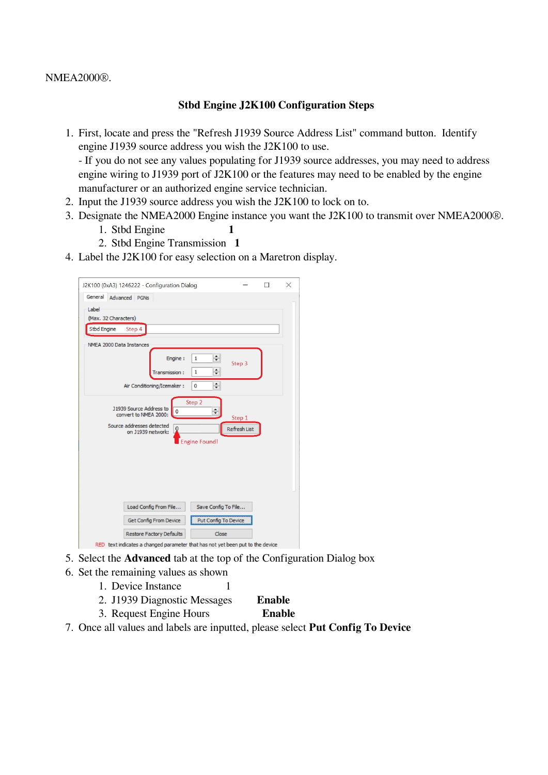NMEA2000®.

#### **Stbd Engine J2K100 Configuration Steps**

1. First, locate and press the "Refresh J1939 Source Address List" command button. Identify engine J1939 source address you wish the J2K100 to use.

- If you do not see any values populating for J1939 source addresses, you may need to address engine wiring to J1939 port of J2K100 or the features may need to be enabled by the engine manufacturer or an authorized engine service technician.

- 2. Input the J1939 source address you wish the J2K100 to lock on to.
- 3. Designate the NMEA2000 Engine instance you want the J2K100 to transmit over NMEA2000®.
	- 1. Stbd Engine **1**
	- 2. Stbd Engine Transmission **1**
- 4. Label the J2K100 for easy selection on a Maretron display.

| J2K100 (0xA3) 1246222 - Configuration Dialog<br>General<br>Advanced PGNs       |                        |              |  |
|--------------------------------------------------------------------------------|------------------------|--------------|--|
| Label<br>(Max. 32 Characters)                                                  |                        |              |  |
| Stbd Engine<br>Step 4                                                          |                        |              |  |
| NMEA 2000 Data Instances                                                       |                        |              |  |
| Engine :                                                                       | $\div$<br>$\mathbf{1}$ | Step 3       |  |
| Transmission:                                                                  | $\div$<br>1            |              |  |
| Air Conditioning/Icemaker:                                                     | $\div$<br>$\mathbf{0}$ |              |  |
| J1939 Source Address to<br>$\overline{0}$<br>convert to NMEA 2000:             | Step 2<br>$\div$       | Step 1       |  |
| Source addresses detected<br>$\bf{0}$<br>on J1939 network:                     |                        | Refresh List |  |
|                                                                                | <b>Engine Found!</b>   |              |  |
|                                                                                |                        |              |  |
|                                                                                |                        |              |  |
|                                                                                |                        |              |  |
|                                                                                |                        |              |  |
| Load Config From File                                                          | Save Config To File    |              |  |
| Get Config From Device                                                         | Put Config To Device   |              |  |
| <b>Restore Factory Defaults</b>                                                | Close                  |              |  |
| RED text indicates a changed parameter that has not yet been put to the device |                        |              |  |

- 5. Select the **Advanced** tab at the top of the Configuration Dialog box
- 6. Set the remaining values as shown
	- 1. Device Instance 1
	- 2. J1939 Diagnostic Messages **Enable**
	- 3. Request Engine Hours **Enable**
- 7. Once all values and labels are inputted, please select **Put Config To Device**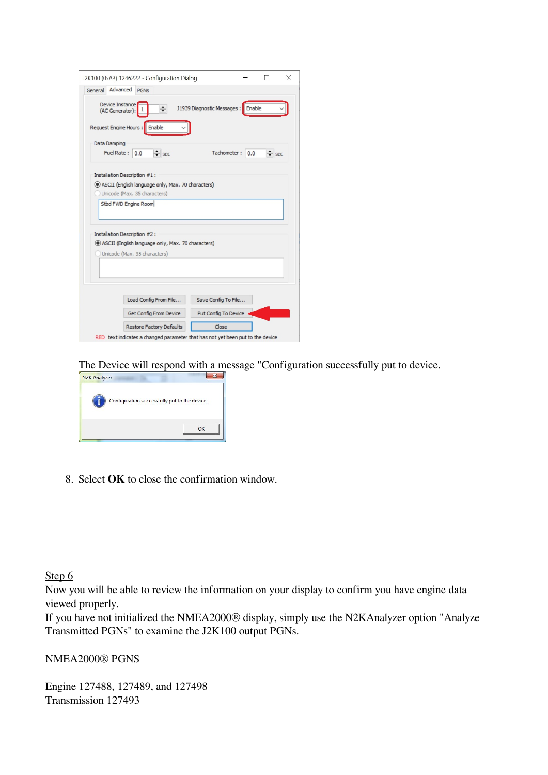|         |                                    |                                                       | J2K100 (0xA3) 1246222 - Configuration Dialog |                            |        |            |
|---------|------------------------------------|-------------------------------------------------------|----------------------------------------------|----------------------------|--------|------------|
| General | Advanced                           | <b>PGNs</b>                                           |                                              |                            |        |            |
|         | Device Instance<br>(AC Generator): | $\div$                                                |                                              | J1939 Diagnostic Messages: | Enable |            |
|         | Request Engine Hours:              | Enable                                                |                                              |                            |        |            |
|         | Data Damping                       |                                                       |                                              |                            |        |            |
|         | Fuel Rate: 0.0                     | $\div$ sec                                            |                                              | Tachometer:                | 0.0    | $\div$ sec |
|         |                                    |                                                       |                                              |                            |        |            |
|         |                                    | Installation Description #1:                          |                                              |                            |        |            |
|         |                                    |                                                       |                                              |                            |        |            |
|         |                                    | (e) ASCII (English language only, Max. 70 characters) |                                              |                            |        |            |
|         |                                    | Unicode (Max. 35 characters)                          |                                              |                            |        |            |
|         |                                    | Stbd FWD Engine Room                                  |                                              |                            |        |            |
|         |                                    |                                                       |                                              |                            |        |            |
|         |                                    |                                                       |                                              |                            |        |            |
|         |                                    | Installation Description #2:                          |                                              |                            |        |            |
|         |                                    | (e) ASCII (English language only, Max. 70 characters) |                                              |                            |        |            |
|         |                                    | Unicode (Max. 35 characters)                          |                                              |                            |        |            |
|         |                                    |                                                       |                                              |                            |        |            |
|         |                                    |                                                       |                                              |                            |        |            |
|         |                                    |                                                       |                                              |                            |        |            |
|         |                                    |                                                       |                                              |                            |        |            |
|         |                                    | Load Config From File                                 |                                              | Save Config To File        |        |            |
|         |                                    | Get Config From Device                                |                                              | Put Config To Device       |        |            |

The Device will respond with a message "Configuration successfully put to device.



8. Select **OK** to close the confirmation window.

Step 6

Now you will be able to review the information on your display to confirm you have engine data viewed properly.

If you have not initialized the NMEA2000® display, simply use the N2KAnalyzer option "Analyze Transmitted PGNs" to examine the J2K100 output PGNs.

NMEA2000® PGNS

Engine 127488, 127489, and 127498 Transmission 127493